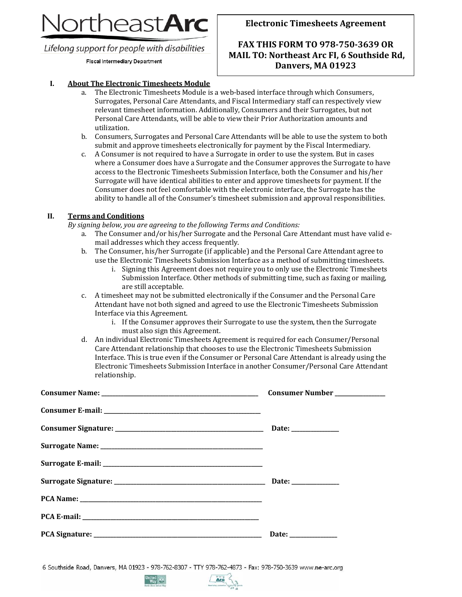# brtheast**Arc**

Lifelong support for people with disabilities

#### Fiscal Intermediary Department

## **Electronic Timesheets Agreement**

## **FAX THIS FORM TO 978Ǧ750Ǧ3639 OR MAIL TO: Northeast Arc FI, 6 Southside Rd, Danvers, MA 01923**

#### **I. About The Electronic Timesheets Module**

a. The Electronic Timesheets Module is a web-based interface through which Consumers, Surrogates, Personal Care Attendants, and Fiscal Intermediary staff can respectively view relevant timesheet information. Additionally, Consumers and their Surrogates, but not Personal Care Attendants, will be able to view their Prior Authorization amounts and utilization.

 $\overline{a}$ 

- b. Consumers, Surrogates and Personal Care Attendants will be able to use the system to both submit and approve timesheets electronically for payment by the Fiscal Intermediary.
- c. A Consumer is not required to have a Surrogate in order to use the system. But in cases where a Consumer does have a Surrogate and the Consumer approves the Surrogate to have access to the Electronic Timesheets Submission Interface, both the Consumer and his/her Surrogate will have identical abilities to enter and approve timesheets for payment. If the Consumer does not feel comfortable with the electronic interface, the Surrogate has the ability to handle all of the Consumer's timesheet submission and approval responsibilities.

### **II. Terms and Conditions**

*By signing below, you are agreeing to the following Terms and Conditions:*

- a. The Consumer and/or his/her Surrogate and the Personal Care Attendant must have valid email addresses which they access frequently.
- b. The Consumer, his/her Surrogate (if applicable) and the Personal Care Attendant agree to use the Electronic Timesheets Submission Interface as a method of submitting timesheets.
	- i. Signing this Agreement does not require you to only use the Electronic Timesheets Submission Interface. Other methods of submitting time, such as faxing or mailing, are still acceptable.
- c. A timesheet may not be submitted electronically if the Consumer and the Personal Care Attendant have not both signed and agreed to use the Electronic Timesheets Submission Interface via this Agreement.
	- i. If the Consumer approves their Surrogate to use the system, then the Surrogate must also sign this Agreement.
- d. An individual Electronic Timesheets Agreement is required for each Consumer/Personal Care Attendant relationship that chooses to use the Electronic Timesheets Submission Interface. This is true even if the Consumer or Personal Care Attendant is already using the Electronic Timesheets Submission Interface in another Consumer/Personal Care Attendant relationship.

| Date: ______________ |
|----------------------|

6 Southside Road, Danvers, MA 01923 - 978-762-8307 - TTY 978-762-4873 - Fax: 978-750-3639 www.ne-arc.org